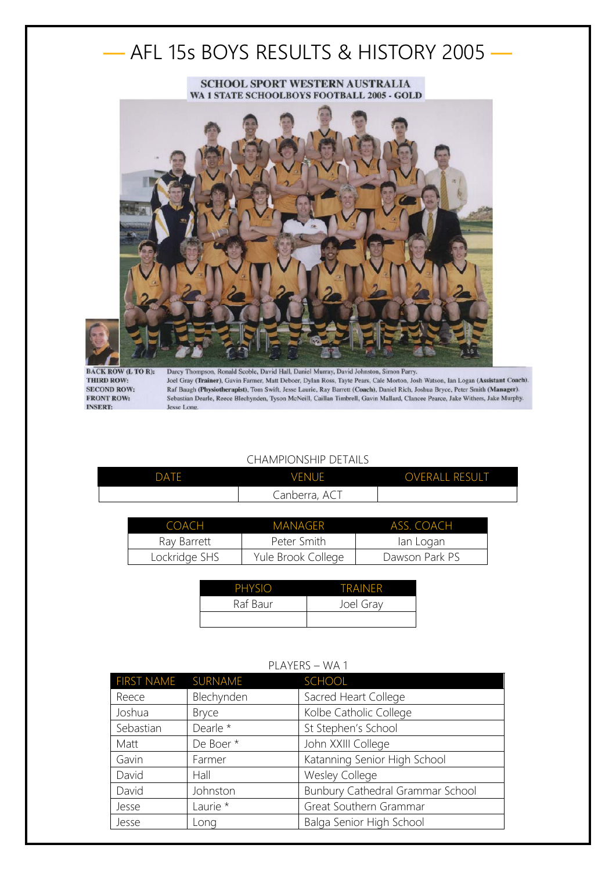# — AFL 15s BOYS RESULTS & HISTORY 2005 —

#### SCHOOL SPORT WESTERN AUSTRALIA WA 1 STATE SCHOOLBOYS FOOTBALL 2005 - GOLD



**BACK ROW (L TO R):** THIRD ROW: **SECOND ROW: FRONT ROW: INSERT:** 

Darcy Thompson, Ronald Scoble, David Hall, Daniel Murray, David Johnston, Simon Parry. Joel Gray (Trainer), Gavin Farmer, Matt Deboer, Dylan Ross, Tayte Pears, Cale Morton, Josh Watson, Ian Logan (Assistant Coach). Raf Baugh (Physiotherapist), Tom Swift, Jesse Laurie, Ray Barrett (Coach), Daniel Rich, Joshua Bryce, Peter Smith (Manager). Sebastian Dearle, Reece Blechynden, Tyson McNeill, Caillan Timbrell, Gavin Mallard, Clancee Pearce, Jake Withers, Jake Murphy. Jesse Long.

### CHAMPIONSHIP DETAILS

| DATE | <b>VENUE</b>  | <b>OVERALL RESULT</b> |
|------|---------------|-----------------------|
|      | Canberra, ACT |                       |

| COACH         | MANAGER            | ASS. COACH     |
|---------------|--------------------|----------------|
| Ray Barrett   | Peter Smith        | lan Logan      |
| Lockridge SHS | Yule Brook College | Dawson Park PS |

| <b>PHYSIO</b> | <b>TRAINFR</b> |
|---------------|----------------|
| Raf Baur      | Joel Gray      |
|               |                |

## PLAYERS – WA 1

| FIRST NAME SURNAME |                     | SCHOOL                           |
|--------------------|---------------------|----------------------------------|
| Reece              | Blechynden          | Sacred Heart College             |
| Joshua             | <b>Bryce</b>        | Kolbe Catholic College           |
| Sebastian          | Dearle *            | St Stephen's School              |
| Matt               | De Boer*            | John XXIII College               |
| Gavin              | Farmer              | Katanning Senior High School     |
| David              | Hall                | <b>Wesley College</b>            |
| David              | Johnston            | Bunbury Cathedral Grammar School |
| Jesse              | Laurie <sup>*</sup> | Great Southern Grammar           |
| Jesse              | Long                | Balga Senior High School         |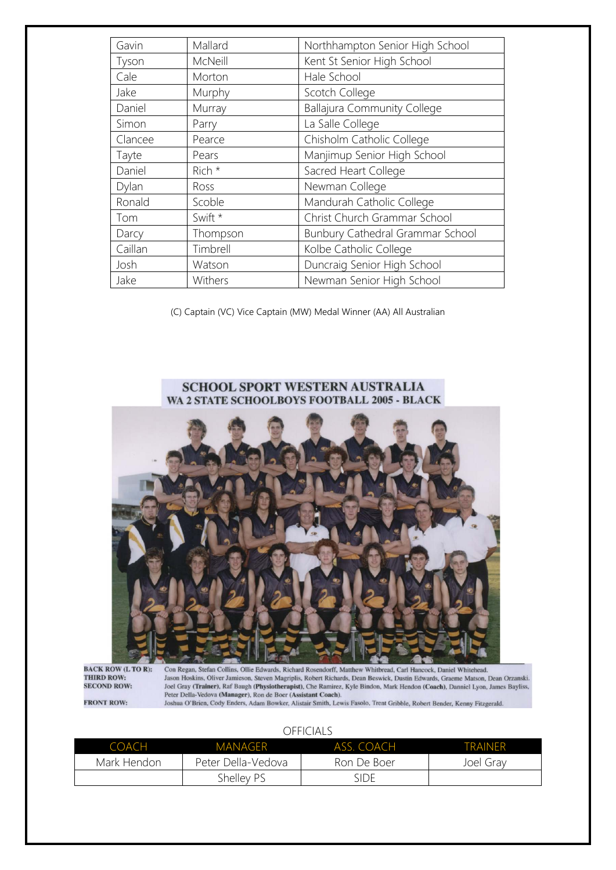| Gavin   | Mallard  | Northhampton Senior High School    |
|---------|----------|------------------------------------|
| Tyson   | McNeill  | Kent St Senior High School         |
| Cale    | Morton   | Hale School                        |
| Jake    | Murphy   | Scotch College                     |
| Daniel  | Murray   | <b>Ballajura Community College</b> |
| Simon   | Parry    | La Salle College                   |
| Clancee | Pearce   | Chisholm Catholic College          |
| Tayte   | Pears    | Manjimup Senior High School        |
| Daniel  | Rich *   | Sacred Heart College               |
| Dylan   | Ross     | Newman College                     |
| Ronald  | Scoble   | Mandurah Catholic College          |
| Tom     | Swift *  | Christ Church Grammar School       |
| Darcy   | Thompson | Bunbury Cathedral Grammar School   |
| Caillan | Timbrell | Kolbe Catholic College             |
| Josh    | Watson   | Duncraig Senior High School        |
| Jake    | Withers  | Newman Senior High School          |

(C) Captain (VC) Vice Captain (MW) Medal Winner (AA) All Australian

#### SCHOOL SPORT WESTERN AUSTRALIA WA 2 STATE SCHOOLBOYS FOOTBALL 2005 - BLACK



**BACK ROW (L TO R):**<br>THIRD ROW: **SECOND ROW:** 

**FRONT ROW:** 

Con Regan, Stefan Collins, Ollie Edwards, Richard Rosendorff, Matthew Whitbread, Carl Hancock, Daniel Whitehead. Jason Hoskins, Oliver Jamieson, Steven Magriplis, Robert Richards, Dean Beswick, Dustin Edwards, Graeme Matson, Dean Orzanski. Joel Gray (Trainer), Raf Baugh (Physiotherapist), cober Attenuates, Dean Detwick, Dustain Calculation, Dean Orangelia, Joel Gray (Trainer), Raf Baugh (Physiotherapist), One Ramirez, Kyle Bindon, Mark Hendon (Coach), Dannie

OFFICIALS

| COACH       | MANAGFR            | ASS. COACH  | <b>TRAINFR</b> |
|-------------|--------------------|-------------|----------------|
| Mark Hendon | Peter Della-Vedova | Ron De Boer | Joel Grav      |
|             | Shelley PS         | SIDE.       |                |